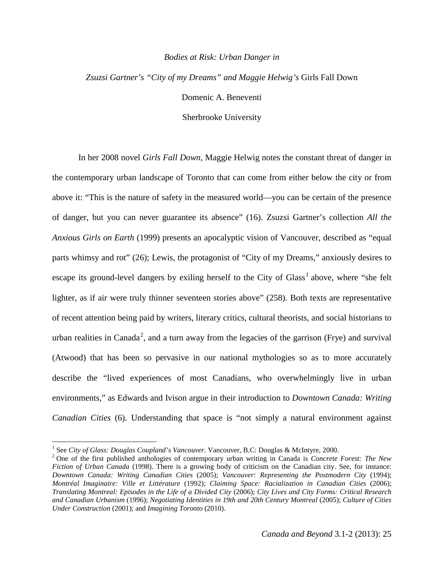## *Bodies at Risk: Urban Danger in*

## *Zsuzsi Gartner's "City of my Dreams" and Maggie Helwig's* Girls Fall Down Domenic A. Beneventi

Sherbrooke University

In her 2008 novel *Girls Fall Down*, Maggie Helwig notes the constant threat of danger in the contemporary urban landscape of Toronto that can come from either below the city or from above it: "This is the nature of safety in the measured world—you can be certain of the presence of danger, but you can never guarantee its absence" (16). Zsuzsi Gartner's collection *All the Anxious Girls on Earth* (1999) presents an apocalyptic vision of Vancouver, described as "equal parts whimsy and rot" (26); Lewis, the protagonist of "City of my Dreams," anxiously desires to escape its ground-level dangers by exiling herself to the City of  $Glass<sup>1</sup>$  $Glass<sup>1</sup>$  $Glass<sup>1</sup>$  above, where "she felt lighter, as if air were truly thinner seventeen stories above" (258). Both texts are representative of recent attention being paid by writers, literary critics, cultural theorists, and social historians to urban realities in Canada<sup>[2](#page-0-1)</sup>, and a turn away from the legacies of the garrison (Frye) and survival (Atwood) that has been so pervasive in our national mythologies so as to more accurately describe the "lived experiences of most Canadians, who overwhelmingly live in urban environments," as Edwards and Ivison argue in their introduction to *Downtown Canada: Writing Canadian Cities* (6). Understanding that space is "not simply a natural environment against

<span id="page-0-0"></span> <sup>1</sup> See *City of Glass: Douglas Coupland's Vancouver*. Vancouver, B.C: Douglas & McIntyre, 2000.

<span id="page-0-1"></span><sup>2</sup> One of the first published anthologies of contemporary urban writing in Canada is *Concrete Forest: The New Fiction of Urban Canada* (1998). There is a growing body of criticism on the Canadian city. See, for instance: *Downtown Canada: Writing Canadian Cities* (2005); *Vancouver: Representing the Postmodern City* (1994); *Montréal Imaginaire: Ville et Littérature* (1992); *Claiming Space: Racialization in Canadian Cities* (2006); Translating Montreal: Episodes in the Life of a Divided City (2006); City Lives and City Forms: Critical Research *and Canadian Urbanism* (1996); *Negotiating Identities in 19th and 20th Century Montreal* (2005); *Culture of Cities Under Construction* (2001); and *Imagining Toronto* (2010).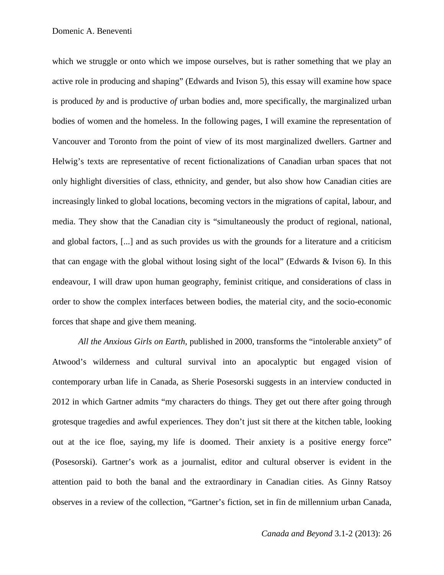which we struggle or onto which we impose ourselves, but is rather something that we play an active role in producing and shaping" (Edwards and Ivison 5), this essay will examine how space is produced *by* and is productive *of* urban bodies and, more specifically, the marginalized urban bodies of women and the homeless. In the following pages, I will examine the representation of Vancouver and Toronto from the point of view of its most marginalized dwellers. Gartner and Helwig's texts are representative of recent fictionalizations of Canadian urban spaces that not only highlight diversities of class, ethnicity, and gender, but also show how Canadian cities are increasingly linked to global locations, becoming vectors in the migrations of capital, labour, and media. They show that the Canadian city is "simultaneously the product of regional, national, and global factors, [...] and as such provides us with the grounds for a literature and a criticism that can engage with the global without losing sight of the local" (Edwards & Ivison 6). In this endeavour, I will draw upon human geography, feminist critique, and considerations of class in order to show the complex interfaces between bodies, the material city, and the socio-economic forces that shape and give them meaning.

*All the Anxious Girls on Earth*, published in 2000, transforms the "intolerable anxiety" of Atwood's wilderness and cultural survival into an apocalyptic but engaged vision of contemporary urban life in Canada, as Sherie Posesorski suggests in an interview conducted in 2012 in which Gartner admits "my characters do things. They get out there after going through grotesque tragedies and awful experiences. They don't just sit there at the kitchen table, looking out at the ice floe, saying, my life is doomed. Their anxiety is a positive energy force" (Posesorski). Gartner's work as a journalist, editor and cultural observer is evident in the attention paid to both the banal and the extraordinary in Canadian cities. As Ginny Ratsoy observes in a review of the collection, "Gartner's fiction, set in fin de millennium urban Canada,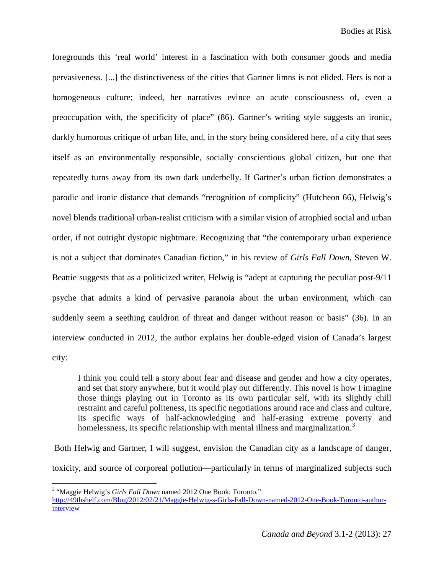foregrounds this 'real world' interest in a fascination with both consumer goods and media pervasiveness. [...] the distinctiveness of the cities that Gartner limns is not elided. Hers is not a homogeneous culture; indeed, her narratives evince an acute consciousness of, even a preoccupation with, the specificity of place" (86). Gartner's writing style suggests an ironic, darkly humorous critique of urban life, and, in the story being considered here, of a city that sees itself as an environmentally responsible, socially conscientious global citizen, but one that repeatedly turns away from its own dark underbelly. If Gartner's urban fiction demonstrates a parodic and ironic distance that demands "recognition of complicity" (Hutcheon 66), Helwig's novel blends traditional urban-realist criticism with a similar vision of atrophied social and urban order, if not outright dystopic nightmare. Recognizing that "the contemporary urban experience is not a subject that dominates Canadian fiction," in his review of *Girls Fall Down*, Steven W. Beattie suggests that as a politicized writer, Helwig is "adept at capturing the peculiar post-9/11 psyche that admits a kind of pervasive paranoia about the urban environment, which can suddenly seem a seething cauldron of threat and danger without reason or basis" (36). In an interview conducted in 2012, the author explains her double-edged vision of Canada's largest city:

I think you could tell a story about fear and disease and gender and how a city operates, and set that story anywhere, but it would play out differently. This novel is how I imagine those things playing out in Toronto as its own particular self, with its slightly chill restraint and careful politeness, its specific negotiations around race and class and culture, its specific ways of half-acknowledging and half-erasing extreme poverty and homelessness, its specific relationship with mental illness and marginalization.<sup>[3](#page-2-0)</sup>

Both Helwig and Gartner, I will suggest, envision the Canadian city as a landscape of danger, toxicity, and source of corporeal pollution—particularly in terms of marginalized subjects such

<span id="page-2-0"></span>

 <sup>3</sup> "Maggie Helwig's *Girls Fall Down* named <sup>2012</sup> One Book: Toronto."

[http://49thshelf.com/Blog/2012/02/21/Maggie-Helwig-s-Girls-Fall-Down-named-2012-One-Book-Toronto-author](http://49thshelf.com/blog/2012/02/21/maggie-helwig-s-girls-fall-down-named-2012-one-book-toronto-author-interview)[interview](http://49thshelf.com/blog/2012/02/21/maggie-helwig-s-girls-fall-down-named-2012-one-book-toronto-author-interview)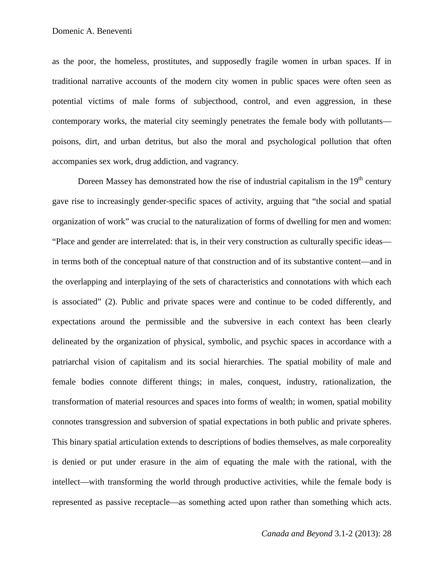as the poor, the homeless, prostitutes, and supposedly fragile women in urban spaces. If in traditional narrative accounts of the modern city women in public spaces were often seen as potential victims of male forms of subjecthood, control, and even aggression, in these contemporary works, the material city seemingly penetrates the female body with pollutants poisons, dirt, and urban detritus, but also the moral and psychological pollution that often accompanies sex work, drug addiction, and vagrancy.

Doreen Massey has demonstrated how the rise of industrial capitalism in the  $19<sup>th</sup>$  century gave rise to increasingly gender-specific spaces of activity, arguing that "the social and spatial organization of work" was crucial to the naturalization of forms of dwelling for men and women: "Place and gender are interrelated: that is, in their very construction as culturally specific ideas in terms both of the conceptual nature of that construction and of its substantive content—and in the overlapping and interplaying of the sets of characteristics and connotations with which each is associated" (2). Public and private spaces were and continue to be coded differently, and expectations around the permissible and the subversive in each context has been clearly delineated by the organization of physical, symbolic, and psychic spaces in accordance with a patriarchal vision of capitalism and its social hierarchies. The spatial mobility of male and female bodies connote different things; in males, conquest, industry, rationalization, the transformation of material resources and spaces into forms of wealth; in women, spatial mobility connotes transgression and subversion of spatial expectations in both public and private spheres. This binary spatial articulation extends to descriptions of bodies themselves, as male corporeality is denied or put under erasure in the aim of equating the male with the rational, with the intellect—with transforming the world through productive activities, while the female body is represented as passive receptacle—as something acted upon rather than something which acts.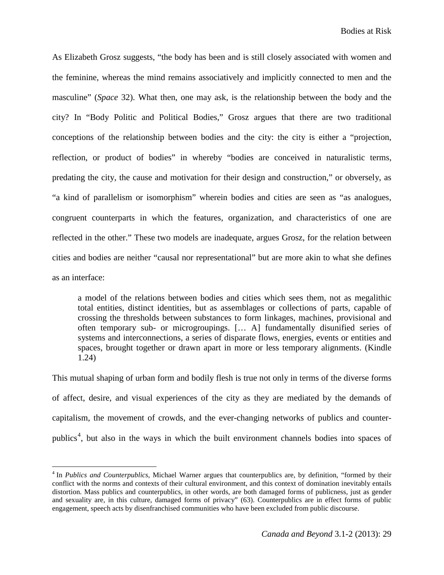As Elizabeth Grosz suggests, "the body has been and is still closely associated with women and the feminine, whereas the mind remains associatively and implicitly connected to men and the masculine" (*Space* 32). What then, one may ask, is the relationship between the body and the city? In "Body Politic and Political Bodies," Grosz argues that there are two traditional conceptions of the relationship between bodies and the city: the city is either a "projection, reflection, or product of bodies" in whereby "bodies are conceived in naturalistic terms, predating the city, the cause and motivation for their design and construction," or obversely, as "a kind of parallelism or isomorphism" wherein bodies and cities are seen as "as analogues, congruent counterparts in which the features, organization, and characteristics of one are reflected in the other." These two models are inadequate, argues Grosz, for the relation between cities and bodies are neither "causal nor representational" but are more akin to what she defines as an interface:

a model of the relations between bodies and cities which sees them, not as megalithic total entities, distinct identities, but as assemblages or collections of parts, capable of crossing the thresholds between substances to form linkages, machines, provisional and often temporary sub- or microgroupings. [… A] fundamentally disunified series of systems and interconnections, a series of disparate flows, energies, events or entities and spaces, brought together or drawn apart in more or less temporary alignments. (Kindle 1.24)

This mutual shaping of urban form and bodily flesh is true not only in terms of the diverse forms of affect, desire, and visual experiences of the city as they are mediated by the demands of capitalism, the movement of crowds, and the ever-changing networks of publics and counter-publics<sup>[4](#page-4-0)</sup>, but also in the ways in which the built environment channels bodies into spaces of

<span id="page-4-0"></span> <sup>4</sup> In *Publics and Counterpublics*, Michael Warner argues that counterpublics are, by definition, "formed by their conflict with the norms and contexts of their cultural environment, and this context of domination inevitably entails distortion. Mass publics and counterpublics, in other words, are both damaged forms of publicness, just as gender and sexuality are, in this culture, damaged forms of privacy" (63). Counterpublics are in effect forms of public engagement, speech acts by disenfranchised communities who have been excluded from public discourse.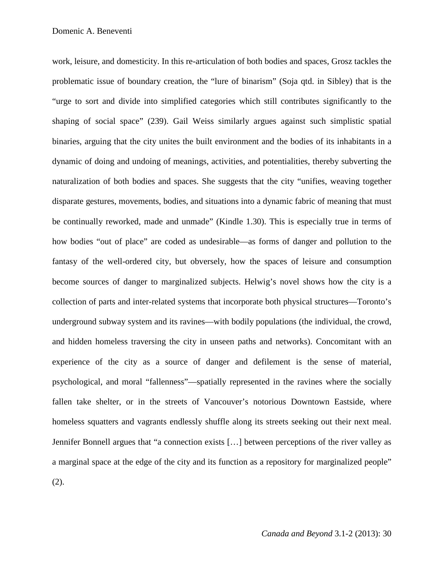work, leisure, and domesticity. In this re-articulation of both bodies and spaces, Grosz tackles the problematic issue of boundary creation, the "lure of binarism" (Soja qtd. in Sibley) that is the "urge to sort and divide into simplified categories which still contributes significantly to the shaping of social space" (239). Gail Weiss similarly argues against such simplistic spatial binaries, arguing that the city unites the built environment and the bodies of its inhabitants in a dynamic of doing and undoing of meanings, activities, and potentialities, thereby subverting the naturalization of both bodies and spaces. She suggests that the city "unifies, weaving together disparate gestures, movements, bodies, and situations into a dynamic fabric of meaning that must be continually reworked, made and unmade" (Kindle 1.30). This is especially true in terms of how bodies "out of place" are coded as undesirable—as forms of danger and pollution to the fantasy of the well-ordered city, but obversely, how the spaces of leisure and consumption become sources of danger to marginalized subjects. Helwig's novel shows how the city is a collection of parts and inter-related systems that incorporate both physical structures—Toronto's underground subway system and its ravines—with bodily populations (the individual, the crowd, and hidden homeless traversing the city in unseen paths and networks). Concomitant with an experience of the city as a source of danger and defilement is the sense of material, psychological, and moral "fallenness"—spatially represented in the ravines where the socially fallen take shelter, or in the streets of Vancouver's notorious Downtown Eastside, where homeless squatters and vagrants endlessly shuffle along its streets seeking out their next meal. Jennifer Bonnell argues that "a connection exists […] between perceptions of the river valley as a marginal space at the edge of the city and its function as a repository for marginalized people" (2).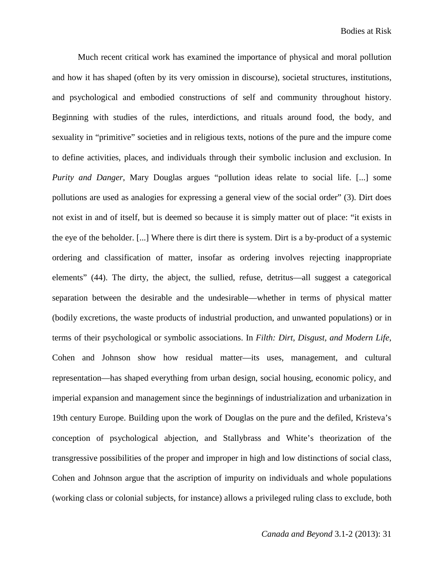Much recent critical work has examined the importance of physical and moral pollution and how it has shaped (often by its very omission in discourse), societal structures, institutions, and psychological and embodied constructions of self and community throughout history. Beginning with studies of the rules, interdictions, and rituals around food, the body, and sexuality in "primitive" societies and in religious texts, notions of the pure and the impure come to define activities, places, and individuals through their symbolic inclusion and exclusion. In *Purity and Danger*, Mary Douglas argues "pollution ideas relate to social life. [...] some pollutions are used as analogies for expressing a general view of the social order" (3). Dirt does not exist in and of itself, but is deemed so because it is simply matter out of place: "it exists in the eye of the beholder. [...] Where there is dirt there is system. Dirt is a by-product of a systemic ordering and classification of matter, insofar as ordering involves rejecting inappropriate elements" (44). The dirty, the abject, the sullied, refuse, detritus—all suggest a categorical separation between the desirable and the undesirable—whether in terms of physical matter (bodily excretions, the waste products of industrial production, and unwanted populations) or in terms of their psychological or symbolic associations. In *Filth: Dirt, Disgust, and Modern Life*, Cohen and Johnson show how residual matter—its uses, management, and cultural representation—has shaped everything from urban design, social housing, economic policy, and imperial expansion and management since the beginnings of industrialization and urbanization in 19th century Europe. Building upon the work of Douglas on the pure and the defiled, Kristeva's conception of psychological abjection, and Stallybrass and White's theorization of the transgressive possibilities of the proper and improper in high and low distinctions of social class, Cohen and Johnson argue that the ascription of impurity on individuals and whole populations (working class or colonial subjects, for instance) allows a privileged ruling class to exclude, both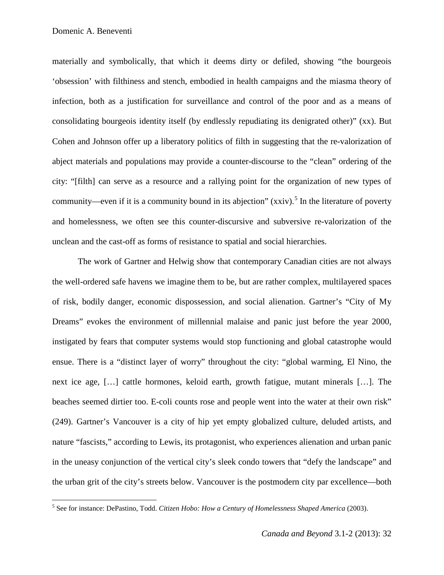materially and symbolically, that which it deems dirty or defiled, showing "the bourgeois 'obsession' with filthiness and stench, embodied in health campaigns and the miasma theory of infection, both as a justification for surveillance and control of the poor and as a means of consolidating bourgeois identity itself (by endlessly repudiating its denigrated other)" (xx). But Cohen and Johnson offer up a liberatory politics of filth in suggesting that the re-valorization of abject materials and populations may provide a counter-discourse to the "clean" ordering of the city: "[filth] can serve as a resource and a rallying point for the organization of new types of community—even if it is a community bound in its abjection" (xxiv).<sup>[5](#page-7-0)</sup> In the literature of poverty and homelessness, we often see this counter-discursive and subversive re-valorization of the unclean and the cast-off as forms of resistance to spatial and social hierarchies.

The work of Gartner and Helwig show that contemporary Canadian cities are not always the well-ordered safe havens we imagine them to be, but are rather complex, multilayered spaces of risk, bodily danger, economic dispossession, and social alienation. Gartner's "City of My Dreams" evokes the environment of millennial malaise and panic just before the year 2000, instigated by fears that computer systems would stop functioning and global catastrophe would ensue. There is a "distinct layer of worry" throughout the city: "global warming, El Nino, the next ice age, […] cattle hormones, keloid earth, growth fatigue, mutant minerals […]. The beaches seemed dirtier too. E-coli counts rose and people went into the water at their own risk" (249). Gartner's Vancouver is a city of hip yet empty globalized culture, deluded artists, and nature "fascists," according to Lewis, its protagonist, who experiences alienation and urban panic in the uneasy conjunction of the vertical city's sleek condo towers that "defy the landscape" and the urban grit of the city's streets below. Vancouver is the postmodern city par excellence—both

<span id="page-7-0"></span> <sup>5</sup> See for instance: DePastino, Todd. *Citizen Hobo: How <sup>a</sup> Century of Homelessness Shaped America* (2003).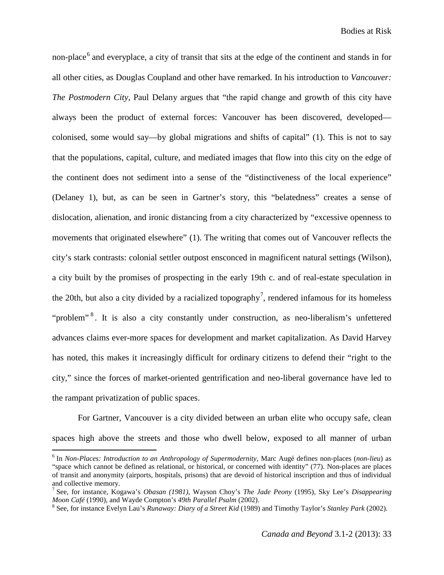non-place<sup>[6](#page-8-0)</sup> and everyplace, a city of transit that sits at the edge of the continent and stands in for all other cities, as Douglas Coupland and other have remarked. In his introduction to *Vancouver: The Postmodern City*, Paul Delany argues that "the rapid change and growth of this city have always been the product of external forces: Vancouver has been discovered, developed colonised, some would say—by global migrations and shifts of capital" (1). This is not to say that the populations, capital, culture, and mediated images that flow into this city on the edge of the continent does not sediment into a sense of the "distinctiveness of the local experience" (Delaney 1), but, as can be seen in Gartner's story, this "belatedness" creates a sense of dislocation, alienation, and ironic distancing from a city characterized by "excessive openness to movements that originated elsewhere" (1). The writing that comes out of Vancouver reflects the city's stark contrasts: colonial settler outpost ensconced in magnificent natural settings (Wilson), a city built by the promises of prospecting in the early 19th c. and of real-estate speculation in the 20th, but also a city divided by a racialized topography<sup>[7](#page-8-1)</sup>, rendered infamous for its homeless "problem"<sup>[8](#page-8-2)</sup>. It is also a city constantly under construction, as neo-liberalism's unfettered advances claims ever-more spaces for development and market capitalization. As David Harvey has noted, this makes it increasingly difficult for ordinary citizens to defend their "right to the city," since the forces of market-oriented gentrification and neo-liberal governance have led to the rampant privatization of public spaces.

For Gartner, Vancouver is a city divided between an urban elite who occupy safe, clean spaces high above the streets and those who dwell below, exposed to all manner of urban

<span id="page-8-0"></span> <sup>6</sup> In *Non-Places: Introduction to an Anthropology of Supermodernity,* Marc Augé defines non-places (*non-lieu*) as "space which cannot be defined as relational, or historical, or concerned with identity" (77). Non-places are places of transit and anonymity (airports, hospitals, prisons) that are devoid of historical inscription and thus of individual

<span id="page-8-1"></span>and collective memory. <sup>7</sup> See, for instance, Kogawa's *Obasan (1981)*, Wayson Choy's *The Jade Peony* (1995), Sky Lee's *Disappearing* Moon Café (1990), and Wayde Compton's 49th Parallel Psalm (2002).<br><sup>8</sup> See, for instance Evelyn Lau's *Runaway: Diary of a Street Kid* (1989) and Timothy Taylor's *Stanley Park* (2002).

<span id="page-8-2"></span>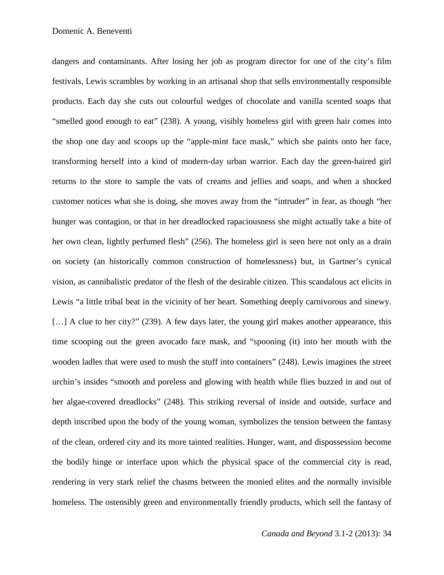dangers and contaminants. After losing her job as program director for one of the city's film festivals, Lewis scrambles by working in an artisanal shop that sells environmentally responsible products. Each day she cuts out colourful wedges of chocolate and vanilla scented soaps that "smelled good enough to eat" (238). A young, visibly homeless girl with green hair comes into the shop one day and scoops up the "apple-mint face mask," which she paints onto her face, transforming herself into a kind of modern-day urban warrior. Each day the green-haired girl returns to the store to sample the vats of creams and jellies and soaps, and when a shocked customer notices what she is doing, she moves away from the "intruder" in fear, as though "her hunger was contagion, or that in her dreadlocked rapaciousness she might actually take a bite of her own clean, lightly perfumed flesh" (256). The homeless girl is seen here not only as a drain on society (an historically common construction of homelessness) but, in Gartner's cynical vision, as cannibalistic predator of the flesh of the desirable citizen. This scandalous act elicits in Lewis "a little tribal beat in the vicinity of her heart. Something deeply carnivorous and sinewy. [...] A clue to her city?" (239). A few days later, the young girl makes another appearance, this time scooping out the green avocado face mask, and "spooning (it) into her mouth with the wooden ladles that were used to mush the stuff into containers" (248). Lewis imagines the street urchin's insides "smooth and poreless and glowing with health while flies buzzed in and out of her algae-covered dreadlocks" (248). This striking reversal of inside and outside, surface and depth inscribed upon the body of the young woman, symbolizes the tension between the fantasy of the clean, ordered city and its more tainted realities. Hunger, want, and dispossession become the bodily hinge or interface upon which the physical space of the commercial city is read, rendering in very stark relief the chasms between the monied elites and the normally invisible homeless. The ostensibly green and environmentally friendly products, which sell the fantasy of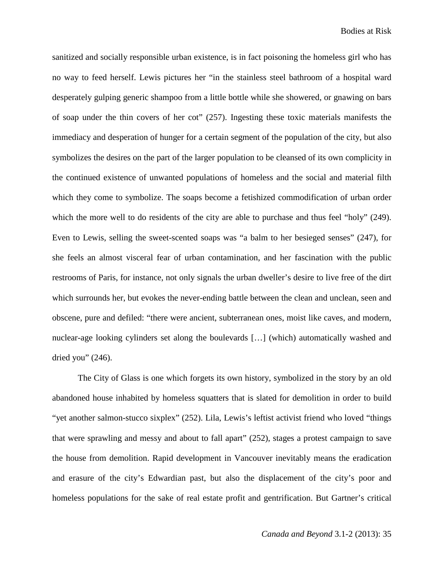sanitized and socially responsible urban existence, is in fact poisoning the homeless girl who has no way to feed herself. Lewis pictures her "in the stainless steel bathroom of a hospital ward desperately gulping generic shampoo from a little bottle while she showered, or gnawing on bars of soap under the thin covers of her cot" (257). Ingesting these toxic materials manifests the immediacy and desperation of hunger for a certain segment of the population of the city, but also symbolizes the desires on the part of the larger population to be cleansed of its own complicity in the continued existence of unwanted populations of homeless and the social and material filth which they come to symbolize. The soaps become a fetishized commodification of urban order which the more well to do residents of the city are able to purchase and thus feel "holy" (249). Even to Lewis, selling the sweet-scented soaps was "a balm to her besieged senses" (247), for she feels an almost visceral fear of urban contamination, and her fascination with the public restrooms of Paris, for instance, not only signals the urban dweller's desire to live free of the dirt which surrounds her, but evokes the never-ending battle between the clean and unclean, seen and obscene, pure and defiled: "there were ancient, subterranean ones, moist like caves, and modern, nuclear-age looking cylinders set along the boulevards […] (which) automatically washed and dried you"  $(246)$ .

The City of Glass is one which forgets its own history, symbolized in the story by an old abandoned house inhabited by homeless squatters that is slated for demolition in order to build "yet another salmon-stucco sixplex" (252). Lila, Lewis's leftist activist friend who loved "things that were sprawling and messy and about to fall apart" (252), stages a protest campaign to save the house from demolition. Rapid development in Vancouver inevitably means the eradication and erasure of the city's Edwardian past, but also the displacement of the city's poor and homeless populations for the sake of real estate profit and gentrification. But Gartner's critical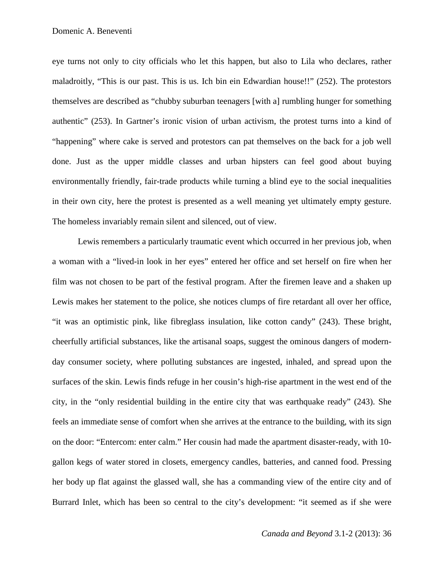eye turns not only to city officials who let this happen, but also to Lila who declares, rather maladroitly, "This is our past. This is us. Ich bin ein Edwardian house!!" (252). The protestors themselves are described as "chubby suburban teenagers [with a] rumbling hunger for something authentic" (253). In Gartner's ironic vision of urban activism, the protest turns into a kind of "happening" where cake is served and protestors can pat themselves on the back for a job well done. Just as the upper middle classes and urban hipsters can feel good about buying environmentally friendly, fair-trade products while turning a blind eye to the social inequalities in their own city, here the protest is presented as a well meaning yet ultimately empty gesture. The homeless invariably remain silent and silenced, out of view.

Lewis remembers a particularly traumatic event which occurred in her previous job, when a woman with a "lived-in look in her eyes" entered her office and set herself on fire when her film was not chosen to be part of the festival program. After the firemen leave and a shaken up Lewis makes her statement to the police, she notices clumps of fire retardant all over her office, "it was an optimistic pink, like fibreglass insulation, like cotton candy" (243). These bright, cheerfully artificial substances, like the artisanal soaps, suggest the ominous dangers of modernday consumer society, where polluting substances are ingested, inhaled, and spread upon the surfaces of the skin. Lewis finds refuge in her cousin's high-rise apartment in the west end of the city, in the "only residential building in the entire city that was earthquake ready" (243). She feels an immediate sense of comfort when she arrives at the entrance to the building, with its sign on the door: "Entercom: enter calm." Her cousin had made the apartment disaster-ready, with 10 gallon kegs of water stored in closets, emergency candles, batteries, and canned food. Pressing her body up flat against the glassed wall, she has a commanding view of the entire city and of Burrard Inlet, which has been so central to the city's development: "it seemed as if she were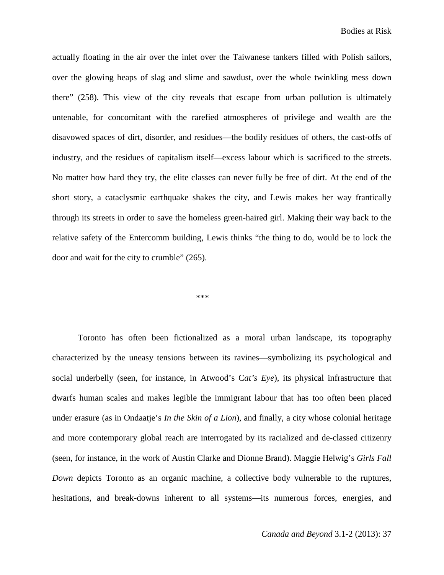actually floating in the air over the inlet over the Taiwanese tankers filled with Polish sailors, over the glowing heaps of slag and slime and sawdust, over the whole twinkling mess down there" (258). This view of the city reveals that escape from urban pollution is ultimately untenable, for concomitant with the rarefied atmospheres of privilege and wealth are the disavowed spaces of dirt, disorder, and residues—the bodily residues of others, the cast-offs of industry, and the residues of capitalism itself—excess labour which is sacrificed to the streets. No matter how hard they try, the elite classes can never fully be free of dirt. At the end of the short story, a cataclysmic earthquake shakes the city, and Lewis makes her way frantically through its streets in order to save the homeless green-haired girl. Making their way back to the relative safety of the Entercomm building, Lewis thinks "the thing to do, would be to lock the door and wait for the city to crumble" (265).

\*\*\*

Toronto has often been fictionalized as a moral urban landscape, its topography characterized by the uneasy tensions between its ravines—symbolizing its psychological and social underbelly (seen, for instance, in Atwood's C*at's Eye*), its physical infrastructure that dwarfs human scales and makes legible the immigrant labour that has too often been placed under erasure (as in Ondaatje's *In the Skin of a Lion*), and finally, a city whose colonial heritage and more contemporary global reach are interrogated by its racialized and de-classed citizenry (seen, for instance, in the work of Austin Clarke and Dionne Brand). Maggie Helwig's *Girls Fall Down* depicts Toronto as an organic machine, a collective body vulnerable to the ruptures, hesitations, and break-downs inherent to all systems—its numerous forces, energies, and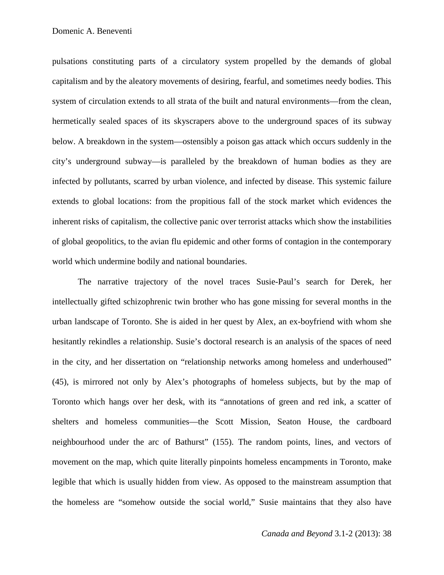pulsations constituting parts of a circulatory system propelled by the demands of global capitalism and by the aleatory movements of desiring, fearful, and sometimes needy bodies. This system of circulation extends to all strata of the built and natural environments—from the clean, hermetically sealed spaces of its skyscrapers above to the underground spaces of its subway below. A breakdown in the system—ostensibly a poison gas attack which occurs suddenly in the city's underground subway—is paralleled by the breakdown of human bodies as they are infected by pollutants, scarred by urban violence, and infected by disease. This systemic failure extends to global locations: from the propitious fall of the stock market which evidences the inherent risks of capitalism, the collective panic over terrorist attacks which show the instabilities of global geopolitics, to the avian flu epidemic and other forms of contagion in the contemporary world which undermine bodily and national boundaries.

The narrative trajectory of the novel traces Susie-Paul's search for Derek, her intellectually gifted schizophrenic twin brother who has gone missing for several months in the urban landscape of Toronto. She is aided in her quest by Alex, an ex-boyfriend with whom she hesitantly rekindles a relationship. Susie's doctoral research is an analysis of the spaces of need in the city, and her dissertation on "relationship networks among homeless and underhoused" (45), is mirrored not only by Alex's photographs of homeless subjects, but by the map of Toronto which hangs over her desk, with its "annotations of green and red ink, a scatter of shelters and homeless communities—the Scott Mission, Seaton House, the cardboard neighbourhood under the arc of Bathurst" (155). The random points, lines, and vectors of movement on the map, which quite literally pinpoints homeless encampments in Toronto, make legible that which is usually hidden from view. As opposed to the mainstream assumption that the homeless are "somehow outside the social world," Susie maintains that they also have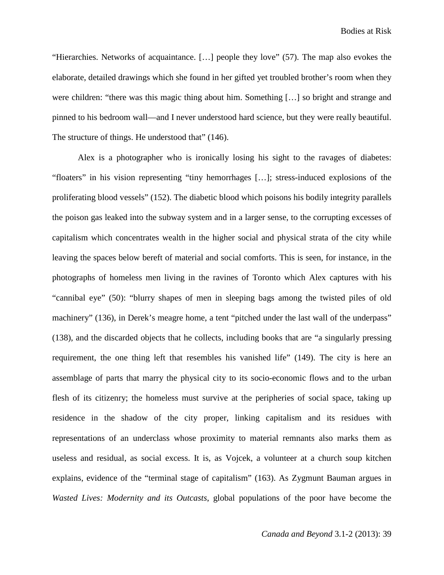"Hierarchies. Networks of acquaintance. […] people they love" (57). The map also evokes the elaborate, detailed drawings which she found in her gifted yet troubled brother's room when they were children: "there was this magic thing about him. Something […] so bright and strange and pinned to his bedroom wall—and I never understood hard science, but they were really beautiful. The structure of things. He understood that" (146).

Alex is a photographer who is ironically losing his sight to the ravages of diabetes: "floaters" in his vision representing "tiny hemorrhages […]; stress-induced explosions of the proliferating blood vessels" (152). The diabetic blood which poisons his bodily integrity parallels the poison gas leaked into the subway system and in a larger sense, to the corrupting excesses of capitalism which concentrates wealth in the higher social and physical strata of the city while leaving the spaces below bereft of material and social comforts. This is seen, for instance, in the photographs of homeless men living in the ravines of Toronto which Alex captures with his "cannibal eye" (50): "blurry shapes of men in sleeping bags among the twisted piles of old machinery" (136), in Derek's meagre home, a tent "pitched under the last wall of the underpass" (138), and the discarded objects that he collects, including books that are "a singularly pressing requirement, the one thing left that resembles his vanished life" (149). The city is here an assemblage of parts that marry the physical city to its socio-economic flows and to the urban flesh of its citizenry; the homeless must survive at the peripheries of social space, taking up residence in the shadow of the city proper, linking capitalism and its residues with representations of an underclass whose proximity to material remnants also marks them as useless and residual, as social excess. It is, as Vojcek, a volunteer at a church soup kitchen explains, evidence of the "terminal stage of capitalism" (163). As Zygmunt Bauman argues in *Wasted Lives: Modernity and its Outcasts*, global populations of the poor have become the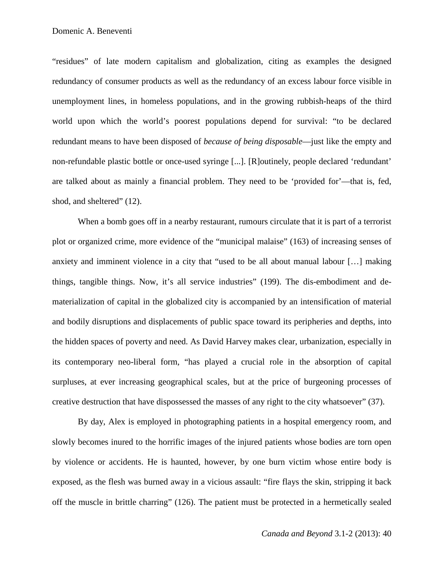"residues" of late modern capitalism and globalization, citing as examples the designed redundancy of consumer products as well as the redundancy of an excess labour force visible in unemployment lines, in homeless populations, and in the growing rubbish-heaps of the third world upon which the world's poorest populations depend for survival: "to be declared redundant means to have been disposed of *because of being disposable*—just like the empty and non-refundable plastic bottle or once-used syringe [...]. [R]outinely, people declared 'redundant' are talked about as mainly a financial problem. They need to be 'provided for'—that is, fed, shod, and sheltered" (12).

When a bomb goes off in a nearby restaurant, rumours circulate that it is part of a terrorist plot or organized crime, more evidence of the "municipal malaise" (163) of increasing senses of anxiety and imminent violence in a city that "used to be all about manual labour […] making things, tangible things. Now, it's all service industries" (199). The dis-embodiment and dematerialization of capital in the globalized city is accompanied by an intensification of material and bodily disruptions and displacements of public space toward its peripheries and depths, into the hidden spaces of poverty and need. As David Harvey makes clear, urbanization, especially in its contemporary neo-liberal form, "has played a crucial role in the absorption of capital surpluses, at ever increasing geographical scales, but at the price of burgeoning processes of creative destruction that have dispossessed the masses of any right to the city whatsoever" (37).

By day, Alex is employed in photographing patients in a hospital emergency room, and slowly becomes inured to the horrific images of the injured patients whose bodies are torn open by violence or accidents. He is haunted, however, by one burn victim whose entire body is exposed, as the flesh was burned away in a vicious assault: "fire flays the skin, stripping it back off the muscle in brittle charring" (126). The patient must be protected in a hermetically sealed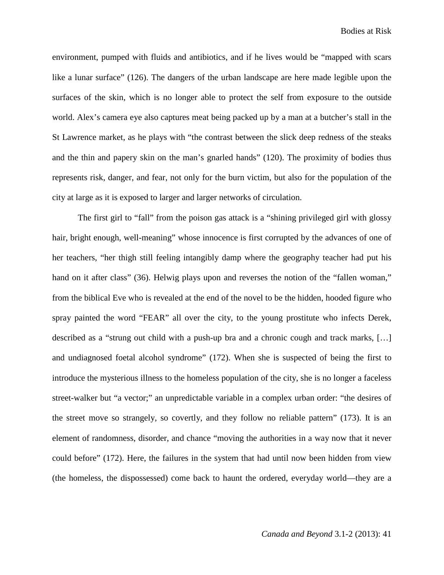environment, pumped with fluids and antibiotics, and if he lives would be "mapped with scars like a lunar surface" (126). The dangers of the urban landscape are here made legible upon the surfaces of the skin, which is no longer able to protect the self from exposure to the outside world. Alex's camera eye also captures meat being packed up by a man at a butcher's stall in the St Lawrence market, as he plays with "the contrast between the slick deep redness of the steaks and the thin and papery skin on the man's gnarled hands" (120). The proximity of bodies thus represents risk, danger, and fear, not only for the burn victim, but also for the population of the city at large as it is exposed to larger and larger networks of circulation.

The first girl to "fall" from the poison gas attack is a "shining privileged girl with glossy hair, bright enough, well-meaning" whose innocence is first corrupted by the advances of one of her teachers, "her thigh still feeling intangibly damp where the geography teacher had put his hand on it after class" (36). Helwig plays upon and reverses the notion of the "fallen woman," from the biblical Eve who is revealed at the end of the novel to be the hidden, hooded figure who spray painted the word "FEAR" all over the city, to the young prostitute who infects Derek, described as a "strung out child with a push-up bra and a chronic cough and track marks, […] and undiagnosed foetal alcohol syndrome" (172). When she is suspected of being the first to introduce the mysterious illness to the homeless population of the city, she is no longer a faceless street-walker but "a vector;" an unpredictable variable in a complex urban order: "the desires of the street move so strangely, so covertly, and they follow no reliable pattern" (173). It is an element of randomness, disorder, and chance "moving the authorities in a way now that it never could before" (172). Here, the failures in the system that had until now been hidden from view (the homeless, the dispossessed) come back to haunt the ordered, everyday world—they are a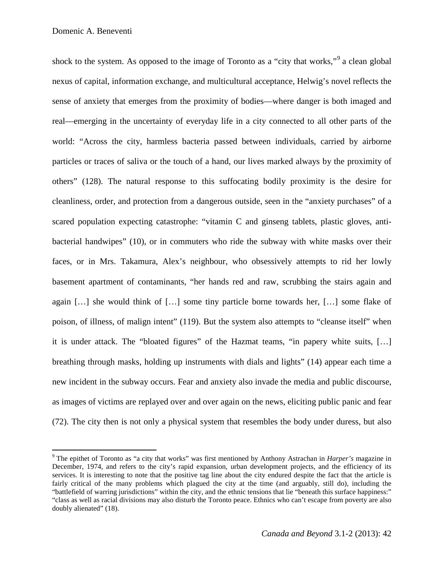shock to the system. As opposed to the image of Toronto as a "city that works,"<sup>[9](#page-17-0)</sup> a clean global nexus of capital, information exchange, and multicultural acceptance, Helwig's novel reflects the sense of anxiety that emerges from the proximity of bodies—where danger is both imaged and real—emerging in the uncertainty of everyday life in a city connected to all other parts of the world: "Across the city, harmless bacteria passed between individuals, carried by airborne particles or traces of saliva or the touch of a hand, our lives marked always by the proximity of others" (128). The natural response to this suffocating bodily proximity is the desire for cleanliness, order, and protection from a dangerous outside, seen in the "anxiety purchases" of a scared population expecting catastrophe: "vitamin C and ginseng tablets, plastic gloves, antibacterial handwipes" (10), or in commuters who ride the subway with white masks over their faces, or in Mrs. Takamura, Alex's neighbour, who obsessively attempts to rid her lowly basement apartment of contaminants, "her hands red and raw, scrubbing the stairs again and again […] she would think of […] some tiny particle borne towards her, […] some flake of poison, of illness, of malign intent" (119). But the system also attempts to "cleanse itself" when it is under attack. The "bloated figures" of the Hazmat teams, "in papery white suits, […] breathing through masks, holding up instruments with dials and lights" (14) appear each time a new incident in the subway occurs. Fear and anxiety also invade the media and public discourse, as images of victims are replayed over and over again on the news, eliciting public panic and fear (72). The city then is not only a physical system that resembles the body under duress, but also

<span id="page-17-0"></span> <sup>9</sup> The epithet of Toronto as "a city that works" was first mentioned by Anthony Astrachan in *Harper's* magazine in December, 1974, and refers to the city's rapid expansion, urban development projects, and the efficiency of its services. It is interesting to note that the positive tag line about the city endured despite the fact that the article is fairly critical of the many problems which plagued the city at the time (and arguably, still do), including the "battlefield of warring jurisdictions" within the city, and the ethnic tensions that lie "beneath this surface happiness:" "class as well as racial divisions may also disturb the Toronto peace. Ethnics who can't escape from poverty are also doubly alienated" (18).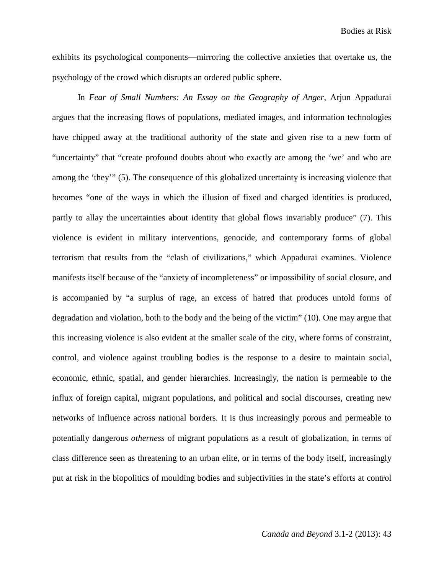exhibits its psychological components—mirroring the collective anxieties that overtake us, the psychology of the crowd which disrupts an ordered public sphere.

In *Fear of Small Numbers: An Essay on the Geography of Anger*, Arjun Appadurai argues that the increasing flows of populations, mediated images, and information technologies have chipped away at the traditional authority of the state and given rise to a new form of "uncertainty" that "create profound doubts about who exactly are among the 'we' and who are among the 'they'" (5). The consequence of this globalized uncertainty is increasing violence that becomes "one of the ways in which the illusion of fixed and charged identities is produced, partly to allay the uncertainties about identity that global flows invariably produce" (7). This violence is evident in military interventions, genocide, and contemporary forms of global terrorism that results from the "clash of civilizations," which Appadurai examines. Violence manifests itself because of the "anxiety of incompleteness" or impossibility of social closure, and is accompanied by "a surplus of rage, an excess of hatred that produces untold forms of degradation and violation, both to the body and the being of the victim" (10). One may argue that this increasing violence is also evident at the smaller scale of the city, where forms of constraint, control, and violence against troubling bodies is the response to a desire to maintain social, economic, ethnic, spatial, and gender hierarchies. Increasingly, the nation is permeable to the influx of foreign capital, migrant populations, and political and social discourses, creating new networks of influence across national borders. It is thus increasingly porous and permeable to potentially dangerous *otherness* of migrant populations as a result of globalization, in terms of class difference seen as threatening to an urban elite, or in terms of the body itself, increasingly put at risk in the biopolitics of moulding bodies and subjectivities in the state's efforts at control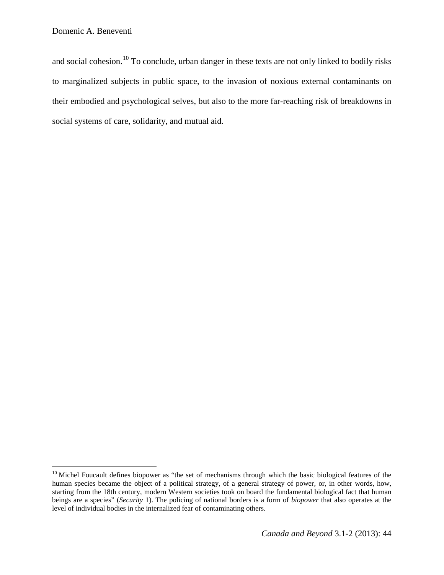and social cohesion.<sup>[10](#page-19-0)</sup> To conclude, urban danger in these texts are not only linked to bodily risks to marginalized subjects in public space, to the invasion of noxious external contaminants on their embodied and psychological selves, but also to the more far-reaching risk of breakdowns in social systems of care, solidarity, and mutual aid.

<span id="page-19-0"></span><sup>&</sup>lt;sup>10</sup> Michel Foucault defines biopower as "the set of mechanisms through which the basic biological features of the human species became the object of a political strategy, of a general strategy of power, or, in other words, how, starting from the 18th century, modern Western societies took on board the fundamental biological fact that human beings are a species" (*Security* 1). The policing of national borders is a form of *biopower* that also operates at the level of individual bodies in the internalized fear of contaminating others.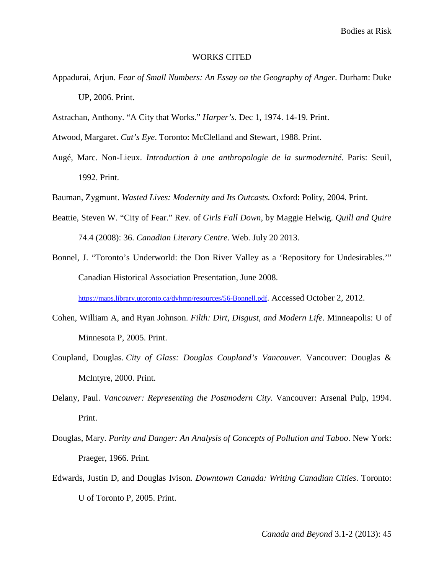Bodies at Risk

## WORKS CITED

- Appadurai, Arjun. *Fear of Small Numbers: An Essay on the Geography of Anger*. Durham: Duke UP, 2006. Print.
- Astrachan, Anthony. "A City that Works." *Harper's*. Dec 1, 1974. 14-19. Print.
- Atwood, Margaret. *Cat's Eye*. Toronto: McClelland and Stewart, 1988. Print.
- Augé, Marc. Non-Lieux. *Introduction à une anthropologie de la surmodernité*. Paris: Seuil, 1992. Print.
- Bauman, Zygmunt. *Wasted Lives: Modernity and Its Outcasts.* Oxford: Polity, 2004. Print.
- Beattie, Steven W. "City of Fear." Rev. of *Girls Fall Down*, by Maggie Helwig. *Quill and Quire* 74.4 (2008): 36. *Canadian Literary Centre*. Web. July 20 2013.
- Bonnel, J. "Toronto's Underworld: the Don River Valley as a 'Repository for Undesirables.'" Canadian Historical Association Presentation, June 2008.

[https://maps.library.utoronto.ca/dvhmp/resources/56-Bonnell.pdf.](https://maps.library.utoronto.ca/dvhmp/resources/56-Bonnell.pdf) Accessed October 2, 2012.

- Cohen, William A, and Ryan Johnson. *Filth: Dirt, Disgust, and Modern Life*. Minneapolis: U of Minnesota P, 2005. Print.
- Coupland, Douglas. *City of Glass: Douglas Coupland's Vancouver*. Vancouver: Douglas & McIntyre, 2000. Print.
- Delany, Paul. *Vancouver: Representing the Postmodern City*. Vancouver: Arsenal Pulp, 1994. Print.
- Douglas, Mary. *Purity and Danger: An Analysis of Concepts of Pollution and Taboo*. New York: Praeger, 1966. Print.
- Edwards, Justin D, and Douglas Ivison. *Downtown Canada: Writing Canadian Cities*. Toronto: U of Toronto P, 2005. Print.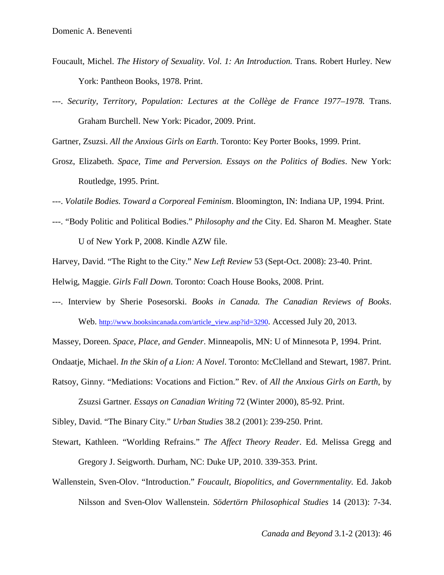- Foucault, Michel. *The History of Sexuality*. *Vol. 1: An Introduction.* Trans. Robert Hurley. New York: Pantheon Books, 1978. Print.
- ---. *Security, Territory, Population: Lectures at the Collège de France 1977–1978.* Trans. Graham Burchell. New York: Picador, 2009. Print.

Gartner, Zsuzsi. *All the Anxious Girls on Earth*. Toronto: Key Porter Books, 1999. Print.

Grosz, Elizabeth. *Space, Time and Perversion. Essays on the Politics of Bodies*. New York: Routledge, 1995. Print.

---. *Volatile Bodies. Toward a Corporeal Feminism*. Bloomington, IN: Indiana UP, 1994. Print.

- ---. "Body Politic and Political Bodies." *Philosophy and the* City. Ed. Sharon M. Meagher. State U of New York P, 2008. Kindle AZW file.
- Harvey, David. "The Right to the City." *New Left Review* 53 (Sept-Oct. 2008): 23-40. Print.

Helwig, Maggie. *Girls Fall Down*. Toronto: Coach House Books, 2008. Print.

---. Interview by Sherie Posesorski. *Books in Canada. The Canadian Reviews of Books*. Web. [http://www.booksincanada.com/article\\_view.asp?id=3290.](http://www.booksincanada.com/article_view.asp?id=3290) Accessed July 20, 2013.

Massey, Doreen. *Space, Place, and Gender*. Minneapolis, MN: U of Minnesota P, 1994. Print.

Ondaatje, Michael. *In the Skin of a Lion: A Novel*. Toronto: McClelland and Stewart, 1987. Print.

Ratsoy, Ginny. "Mediations: Vocations and Fiction." Rev. of *All the Anxious Girls on Earth*, by

Zsuzsi Gartner*. Essays on Canadian Writing* 72 (Winter 2000), 85-92. Print.

Sibley, David. "The Binary City." *Urban Studies* 38.2 (2001): 239-250. Print.

- Stewart, Kathleen. "Worlding Refrains." *The Affect Theory Reader*. Ed. Melissa Gregg and Gregory J. Seigworth. Durham, NC: Duke UP, 2010. 339-353. Print.
- Wallenstein, Sven-Olov. "Introduction." *Foucault, Biopolitics, and Governmentality.* Ed. Jakob Nilsson and Sven-Olov Wallenstein. *Södertörn Philosophical Studies* 14 (2013): 7-34.